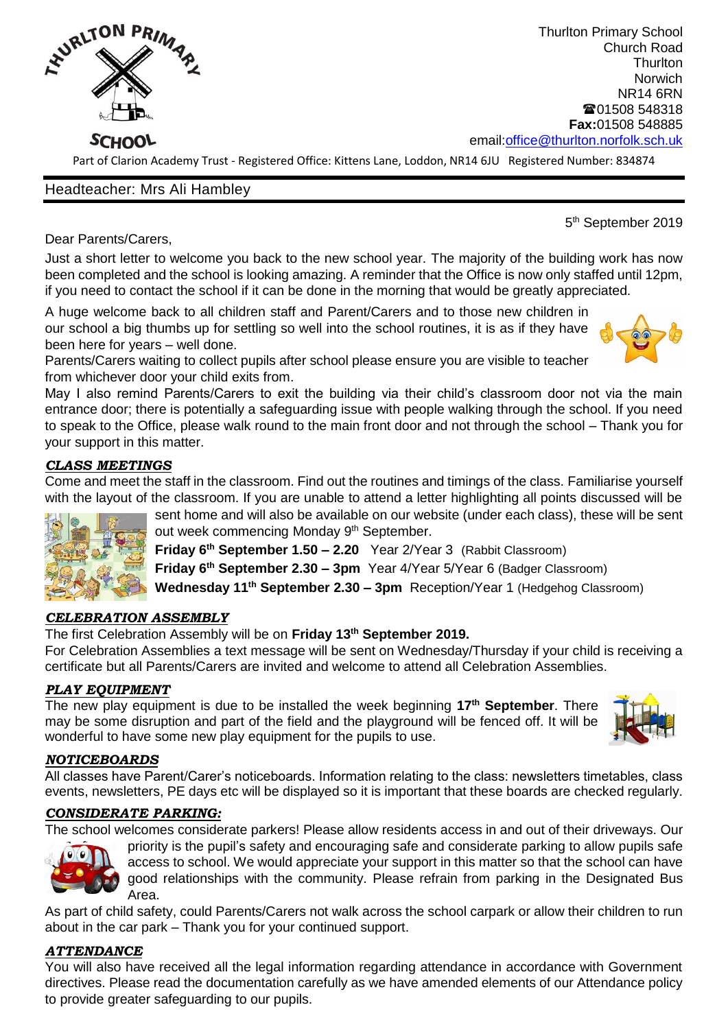

Thurlton Primary School Church Road **Thurlton** Norwich NR14 6RN ■01508 548318 **Fax:**01508 548885 email[:office@thurlton.norfolk.sch.uk](mailto:office@thurlton.norfolk.sch.uk)

Part of Clarion Academy Trust - Registered Office: Kittens Lane, Loddon, NR14 6JU Registered Number: 834874

# Headteacher: Mrs Ali Hambley

the contract of the contract of the contract of the contract of the contract of the contract of the contract o 5<sup>th</sup> September 2019

Dear Parents/Carers,

Just a short letter to welcome you back to the new school year. The majority of the building work has now been completed and the school is looking amazing. A reminder that the Office is now only staffed until 12pm, if you need to contact the school if it can be done in the morning that would be greatly appreciated.

A huge welcome back to all children staff and Parent/Carers and to those new children in our school a big thumbs up for settling so well into the school routines, it is as if they have been here for years – well done.



Parents/Carers waiting to collect pupils after school please ensure you are visible to teacher from whichever door your child exits from.

May I also remind Parents/Carers to exit the building via their child's classroom door not via the main entrance door; there is potentially a safeguarding issue with people walking through the school. If you need to speak to the Office, please walk round to the main front door and not through the school – Thank you for your support in this matter.

# *CLASS MEETINGS*

Come and meet the staff in the classroom. Find out the routines and timings of the class. Familiarise yourself with the layout of the classroom. If you are unable to attend a letter highlighting all points discussed will be



sent home and will also be available on our website (under each class), these will be sent out week commencing Monday 9<sup>th</sup> September. **Friday 6th September 1.50 – 2.20** Year 2/Year 3 (Rabbit Classroom) **Friday 6th September 2.30 – 3pm** Year 4/Year 5/Year 6 (Badger Classroom)

**Wednesday 11th September 2.30 – 3pm** Reception/Year 1 (Hedgehog Classroom)

## *CELEBRATION ASSEMBLY*

The first Celebration Assembly will be on **Friday 13th September 2019.** 

For Celebration Assemblies a text message will be sent on Wednesday/Thursday if your child is receiving a certificate but all Parents/Carers are invited and welcome to attend all Celebration Assemblies.

## *PLAY EQUIPMENT*

The new play equipment is due to be installed the week beginning **17th September**. There may be some disruption and part of the field and the playground will be fenced off. It will be wonderful to have some new play equipment for the pupils to use.



#### *NOTICEBOARDS*

All classes have Parent/Carer's noticeboards. Information relating to the class: newsletters timetables, class events, newsletters, PE days etc will be displayed so it is important that these boards are checked regularly.

## *CONSIDERATE PARKING:*

The school welcomes considerate parkers! Please allow residents access in and out of their driveways. Our



priority is the pupil's safety and encouraging safe and considerate parking to allow pupils safe access to school. We would appreciate your support in this matter so that the school can have good relationships with the community. Please refrain from parking in the Designated Bus Area.

As part of child safety, could Parents/Carers not walk across the school carpark or allow their children to run about in the car park – Thank you for your continued support.

## *ATTENDANCE*

You will also have received all the legal information regarding attendance in accordance with Government directives. Please read the documentation carefully as we have amended elements of our Attendance policy to provide greater safeguarding to our pupils.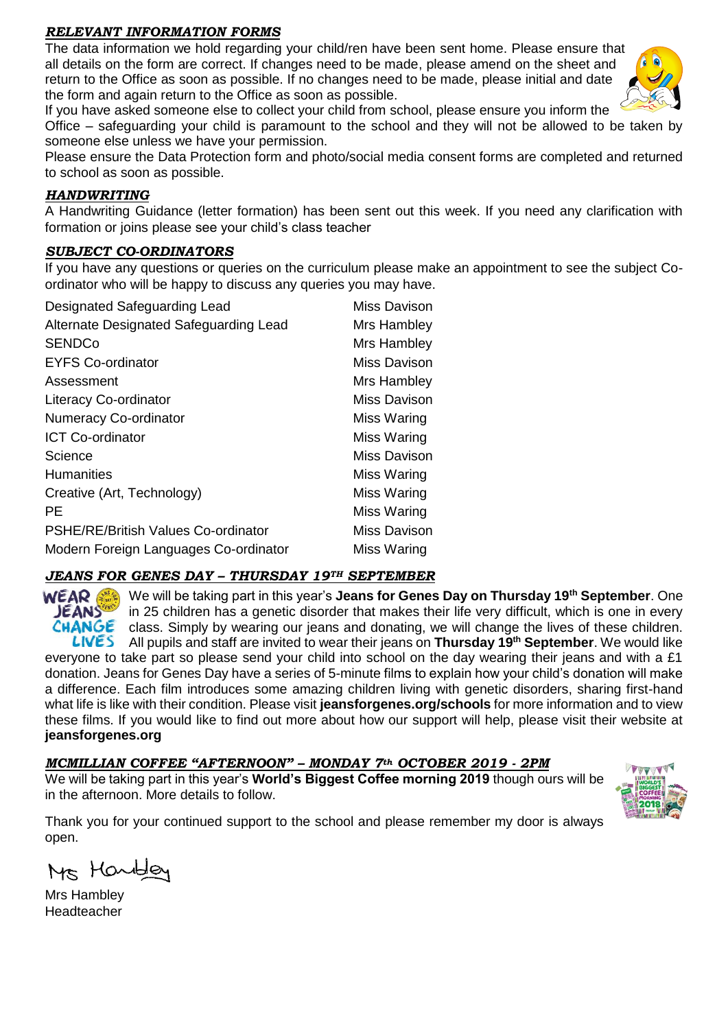### *RELEVANT INFORMATION FORMS*

The data information we hold regarding your child/ren have been sent home. Please ensure that all details on the form are correct. If changes need to be made, please amend on the sheet and return to the Office as soon as possible. If no changes need to be made, please initial and date the form and again return to the Office as soon as possible.



If you have asked someone else to collect your child from school, please ensure you inform the

Office – safeguarding your child is paramount to the school and they will not be allowed to be taken by someone else unless we have your permission.

Please ensure the Data Protection form and photo/social media consent forms are completed and returned to school as soon as possible.

### *HANDWRITING*

A Handwriting Guidance (letter formation) has been sent out this week. If you need any clarification with formation or joins please see your child's class teacher

#### *SUBJECT CO-ORDINATORS*

If you have any questions or queries on the curriculum please make an appointment to see the subject Coordinator who will be happy to discuss any queries you may have.

| Designated Safeguarding Lead               | Miss Davison |
|--------------------------------------------|--------------|
| Alternate Designated Safeguarding Lead     | Mrs Hambley  |
| <b>SENDCo</b>                              | Mrs Hambley  |
| <b>EYFS Co-ordinator</b>                   | Miss Davison |
| Assessment                                 | Mrs Hambley  |
| <b>Literacy Co-ordinator</b>               | Miss Davison |
| <b>Numeracy Co-ordinator</b>               | Miss Waring  |
| <b>ICT Co-ordinator</b>                    | Miss Waring  |
| Science                                    | Miss Davison |
| <b>Humanities</b>                          | Miss Waring  |
| Creative (Art, Technology)                 | Miss Waring  |
| РE                                         | Miss Waring  |
| <b>PSHE/RE/British Values Co-ordinator</b> | Miss Davison |
| Modern Foreign Languages Co-ordinator      | Miss Waring  |

## *JEANS FOR GENES DAY – THURSDAY 19TH SEPTEMBER*

WEAR 6 We will be taking part in this year's **Jeans for Genes Day on Thursday 19th September**. One **JEANS** in 25 children has a genetic disorder that makes their life very difficult, which is one in every CHANGE class. Simply by wearing our jeans and donating, we will change the lives of these children. All pupils and staff are invited to wear their jeans on **Thursday 19th September**. We would like everyone to take part so please send your child into school on the day wearing their jeans and with a  $£1$ donation. Jeans for Genes Day have a series of 5-minute films to explain how your child's donation will make a difference. Each film introduces some amazing children living with genetic disorders, sharing first-hand what life is like with their condition. Please visit **jeansforgenes.org/schools** for more information and to view these films. If you would like to find out more about how our support will help, please visit their website at **jeansforgenes.org**

## *MCMILLIAN COFFEE "AFTERNOON" – MONDAY 7th OCTOBER 2019 - 2PM*

We will be taking part in this year's **World's Biggest Coffee morning 2019** though ours will be in the afternoon. More details to follow.



Thank you for your continued support to the school and please remember my door is always open.

Ms Handley

Mrs Hambley Headteacher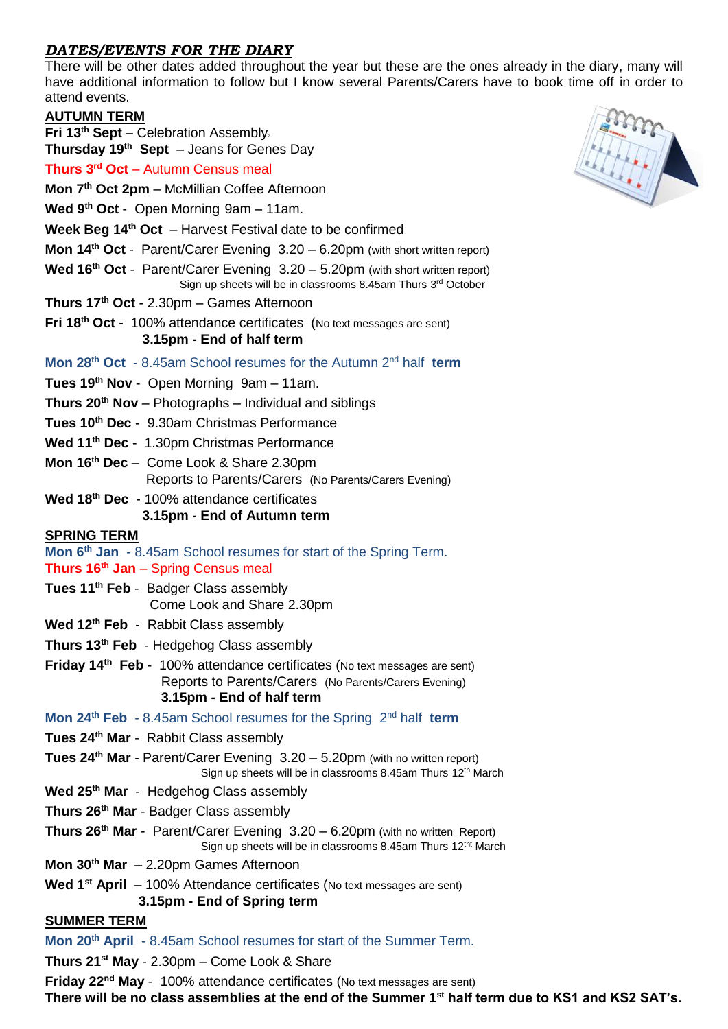# *DATES/EVENTS FOR THE DIARY*

There will be other dates added throughout the year but these are the ones already in the diary, many will have additional information to follow but I know several Parents/Carers have to book time off in order to attend events.

| <b>AUTUMN TERM</b>                                                                                                                                                           |
|------------------------------------------------------------------------------------------------------------------------------------------------------------------------------|
| Fri 13 <sup>th</sup> Sept - Celebration Assembly.                                                                                                                            |
| <b>Thursday 19th Sept</b> $-$ Jeans for Genes Day<br>Thurs 3 <sup>rd</sup> Oct – Autumn Census meal                                                                          |
|                                                                                                                                                                              |
| Mon 7 <sup>th</sup> Oct 2pm - McMillian Coffee Afternoon                                                                                                                     |
| Wed $9th$ Oct - Open Morning $9am - 11am$ .                                                                                                                                  |
| <b>Week Beg 14th Oct</b> $-$ Harvest Festival date to be confirmed                                                                                                           |
| Mon 14 <sup>th</sup> Oct - Parent/Carer Evening 3.20 - 6.20pm (with short written report)                                                                                    |
| Wed 16 <sup>th</sup> Oct - Parent/Carer Evening $3.20 - 5.20$ pm (with short written report)<br>Sign up sheets will be in classrooms 8.45am Thurs 3rd October                |
| Thurs 17 <sup>th</sup> Oct - 2.30pm - Games Afternoon                                                                                                                        |
| Fri 18 <sup>th</sup> Oct - 100% attendance certificates (No text messages are sent)<br>3.15pm - End of half term                                                             |
| Mon 28 <sup>th</sup> Oct - 8.45am School resumes for the Autumn 2 <sup>nd</sup> half term                                                                                    |
| Tues 19 <sup>th</sup> Nov - Open Morning 9am - 11am.                                                                                                                         |
| Thurs 20 <sup>th</sup> Nov - Photographs - Individual and siblings                                                                                                           |
| Tues 10 <sup>th</sup> Dec - 9.30am Christmas Performance                                                                                                                     |
| Wed 11 <sup>th</sup> Dec - 1.30pm Christmas Performance                                                                                                                      |
| Mon 16 <sup>th</sup> Dec - Come Look & Share 2.30pm                                                                                                                          |
| Reports to Parents/Carers (No Parents/Carers Evening)                                                                                                                        |
| Wed 18 <sup>th</sup> Dec - 100% attendance certificates                                                                                                                      |
| 3.15pm - End of Autumn term                                                                                                                                                  |
| <u>SPRING TERM</u><br>Mon 6 <sup>th</sup> Jan - 8.45am School resumes for start of the Spring Term.                                                                          |
| Thurs 16 <sup>th</sup> Jan - Spring Census meal                                                                                                                              |
| Tues 11 <sup>th</sup> Feb - Badger Class assembly                                                                                                                            |
| Come Look and Share 2.30pm                                                                                                                                                   |
| Wed 12 <sup>th</sup> Feb - Rabbit Class assembly                                                                                                                             |
| Thurs 13 <sup>th</sup> Feb - Hedgehog Class assembly                                                                                                                         |
| Friday 14 <sup>th</sup> Feb - 100% attendance certificates (No text messages are sent)<br>Reports to Parents/Carers (No Parents/Carers Evening)<br>3.15pm - End of half term |
| Mon 24 <sup>th</sup> Feb - 8.45am School resumes for the Spring 2 <sup>nd</sup> half term                                                                                    |
| Tues 24 <sup>th</sup> Mar - Rabbit Class assembly                                                                                                                            |
| <b>Tues 24th Mar</b> - Parent/Carer Evening $3.20 - 5.20$ pm (with no written report)<br>Sign up sheets will be in classrooms 8.45am Thurs 12 <sup>th</sup> March            |
| Wed 25 <sup>th</sup> Mar - Hedgehog Class assembly                                                                                                                           |
| Thurs 26 <sup>th</sup> Mar - Badger Class assembly                                                                                                                           |
| Thurs 26 <sup>th</sup> Mar - Parent/Carer Evening 3.20 - 6.20pm (with no written Report)<br>Sign up sheets will be in classrooms 8.45am Thurs 12 <sup>tht</sup> March        |
| Mon 30 <sup>th</sup> Mar - 2.20pm Games Afternoon                                                                                                                            |
| <b>Wed 1<sup>st</sup> April</b> $-$ 100% Attendance certificates (No text messages are sent)                                                                                 |
| 3.15pm - End of Spring term                                                                                                                                                  |
| <u>SUMMER TERM</u>                                                                                                                                                           |
| Mon 20 <sup>th</sup> April - 8.45am School resumes for start of the Summer Term.                                                                                             |
| Thurs 21 <sup>st</sup> May - 2.30pm - Come Look & Share                                                                                                                      |



**Friday 22<sup>nd</sup> May** - 100% attendance certificates (No text messages are sent) **There will be no class assemblies at the end of the Summer 1st half term due to KS1 and KS2 SAT's.**